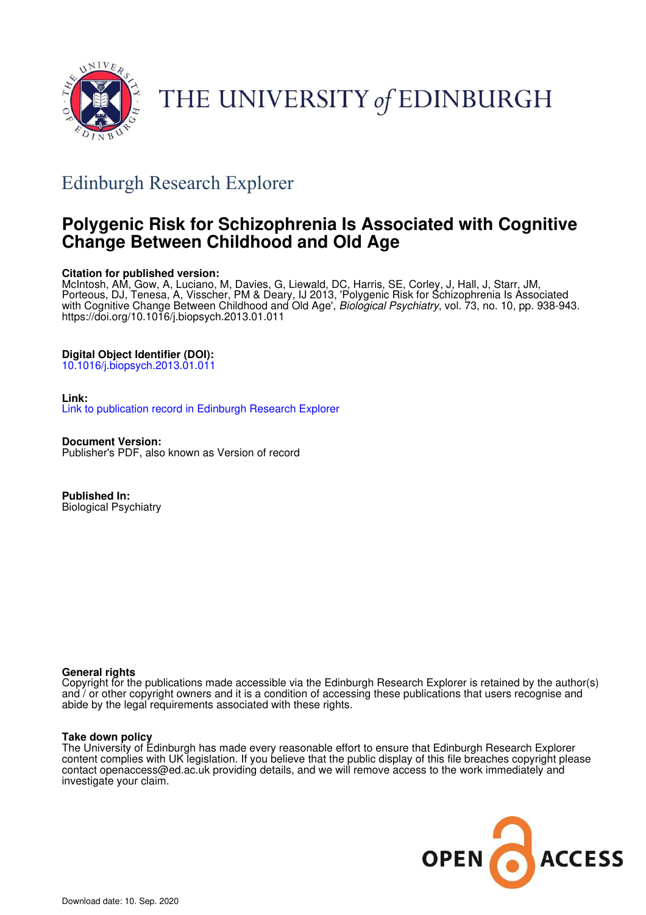

# THE UNIVERSITY of EDINBURGH

## Edinburgh Research Explorer

### **Polygenic Risk for Schizophrenia Is Associated with Cognitive Change Between Childhood and Old Age**

#### **Citation for published version:**

McIntosh, AM, Gow, A, Luciano, M, Davies, G, Liewald, DC, Harris, SE, Corley, J, Hall, J, Starr, JM, Porteous, DJ, Tenesa, A, Visscher, PM & Deary, IJ 2013, 'Polygenic Risk for Schizophrenia Is Associated with Cognitive Change Between Childhood and Old Age', *Biological Psychiatry*, vol. 73, no. 10, pp. 938-943. https://doi.org/10.1016/j.biopsych.2013.01.011

#### **Digital Object Identifier (DOI):**

10.1016/j.biopsych.2013.01.011

#### **Link:**

Link to publication record in Edinburgh Research Explorer

**Document Version:** Publisher's PDF, also known as Version of record

**Published In:** Biological Psychiatry

#### **General rights**

Copyright for the publications made accessible via the Edinburgh Research Explorer is retained by the author(s) and / or other copyright owners and it is a condition of accessing these publications that users recognise and abide by the legal requirements associated with these rights.

#### **Take down policy**

The University of Edinburgh has made every reasonable effort to ensure that Edinburgh Research Explorer content complies with UK legislation. If you believe that the public display of this file breaches copyright please contact openaccess@ed.ac.uk providing details, and we will remove access to the work immediately and investigate your claim.

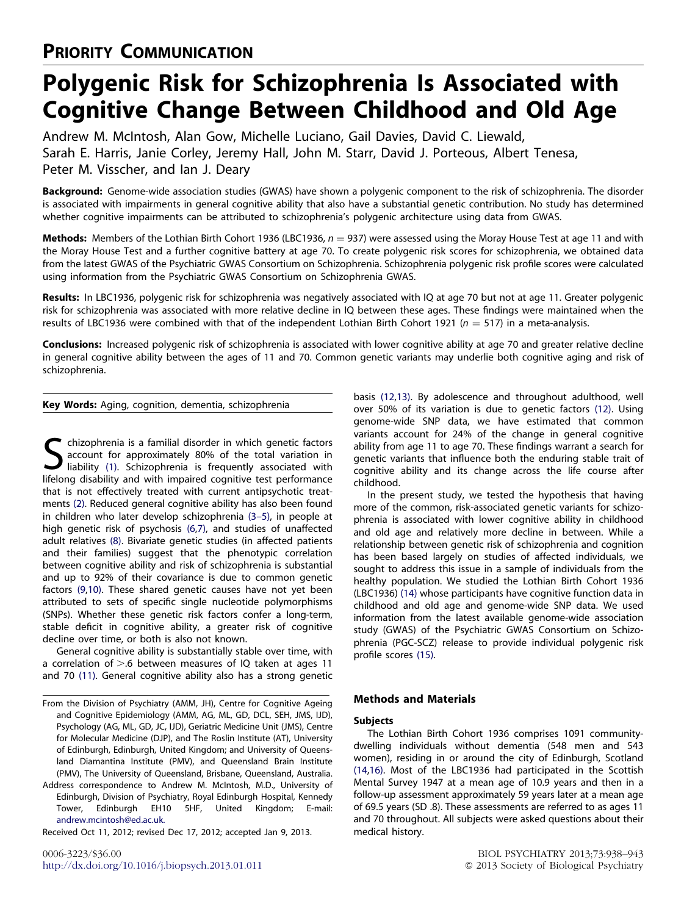# Polygenic Risk for Schizophrenia Is Associated with Cognitive Change Between Childhood and Old Age

Andrew M. McIntosh, Alan Gow, Michelle Luciano, Gail Davies, David C. Liewald, Sarah E. Harris, Janie Corley, Jeremy Hall, John M. Starr, David J. Porteous, Albert Tenesa, Peter M. Visscher, and Ian J. Deary

Background: Genome-wide association studies (GWAS) have shown a polygenic component to the risk of schizophrenia. The disorder is associated with impairments in general cognitive ability that also have a substantial genetic contribution. No study has determined whether cognitive impairments can be attributed to schizophrenia's polygenic architecture using data from GWAS.

Methods: Members of the Lothian Birth Cohort 1936 (LBC1936,  $n = 937$ ) were assessed using the Moray House Test at age 11 and with the Moray House Test and a further cognitive battery at age 70. To create polygenic risk scores for schizophrenia, we obtained data from the latest GWAS of the Psychiatric GWAS Consortium on Schizophrenia. Schizophrenia polygenic risk profile scores were calculated using information from the Psychiatric GWAS Consortium on Schizophrenia GWAS.

Results: In LBC1936, polygenic risk for schizophrenia was negatively associated with IQ at age 70 but not at age 11. Greater polygenic risk for schizophrenia was associated with more relative decline in IQ between these ages. These findings were maintained when the results of LBC1936 were combined with that of the independent Lothian Birth Cohort 1921 ( $n = 517$ ) in a meta-analysis.

Conclusions: Increased polygenic risk of schizophrenia is associated with lower cognitive ability at age 70 and greater relative decline in general cognitive ability between the ages of 11 and 70. Common genetic variants may underlie both cognitive aging and risk of schizophrenia.

Key Words: Aging, cognition, dementia, schizophrenia

S chizophrenia is a familial disorder in which genetic factors<br>account for approximately 80% of the total variation in<br>liability (1). Schizophrenia is frequently associated with<br>lifelong displility and with impaired contit chizophrenia is a familial disorder in which genetic factors account for approximately 80% of the total variation in lifelong disability and with impaired cognitive test performance that is not effectively treated with current antipsychotic treatments (2). Reduced general cognitive ability has also been found in children who later develop schizophrenia (3–5), in people at high genetic risk of psychosis (6,7), and studies of unaffected adult relatives (8). Bivariate genetic studies (in affected patients and their families) suggest that the phenotypic correlation between cognitive ability and risk of schizophrenia is substantial and up to 92% of their covariance is due to common genetic factors (9,10). These shared genetic causes have not yet been attributed to sets of specific single nucleotide polymorphisms (SNPs). Whether these genetic risk factors confer a long-term, stable deficit in cognitive ability, a greater risk of cognitive decline over time, or both is also not known.

General cognitive ability is substantially stable over time, with a correlation of  $> 6$  between measures of IQ taken at ages 11 and 70 (11). General cognitive ability also has a strong genetic

From the Division of Psychiatry (AMM, JH), Centre for Cognitive Ageing and Cognitive Epidemiology (AMM, AG, ML, GD, DCL, SEH, JMS, IJD), Psychology (AG, ML, GD, JC, IJD), Geriatric Medicine Unit (JMS), Centre for Molecular Medicine (DJP), and The Roslin Institute (AT), University of Edinburgh, Edinburgh, United Kingdom; and University of Queensland Diamantina Institute (PMV), and Queensland Brain Institute (PMV), The University of Queensland, Brisbane, Queensland, Australia.

Address correspondence to Andrew M. McIntosh, M.D., University of Edinburgh, Division of Psychiatry, Royal Edinburgh Hospital, Kennedy Tower, Edinburgh EH10 5HF, United Kingdom; E-mail: andrew.mcintosh@ed.ac.uk.

Received Oct 11, 2012; revised Dec 17, 2012; accepted Jan 9, 2013.

basis (12,13). By adolescence and throughout adulthood, well over 50% of its variation is due to genetic factors (12). Using genome-wide SNP data, we have estimated that common variants account for 24% of the change in general cognitive ability from age 11 to age 70. These findings warrant a search for genetic variants that influence both the enduring stable trait of cognitive ability and its change across the life course after childhood.

In the present study, we tested the hypothesis that having more of the common, risk-associated genetic variants for schizophrenia is associated with lower cognitive ability in childhood and old age and relatively more decline in between. While a relationship between genetic risk of schizophrenia and cognition has been based largely on studies of affected individuals, we sought to address this issue in a sample of individuals from the healthy population. We studied the Lothian Birth Cohort 1936 (LBC1936) (14) whose participants have cognitive function data in childhood and old age and genome-wide SNP data. We used information from the latest available genome-wide association study (GWAS) of the Psychiatric GWAS Consortium on Schizophrenia (PGC-SCZ) release to provide individual polygenic risk profile scores (15).

#### Methods and Materials

#### Subjects

The Lothian Birth Cohort 1936 comprises 1091 communitydwelling individuals without dementia (548 men and 543 women), residing in or around the city of Edinburgh, Scotland (14,16). Most of the LBC1936 had participated in the Scottish Mental Survey 1947 at a mean age of 10.9 years and then in a follow-up assessment approximately 59 years later at a mean age of 69.5 years (SD .8). These assessments are referred to as ages 11 and 70 throughout. All subjects were asked questions about their medical history.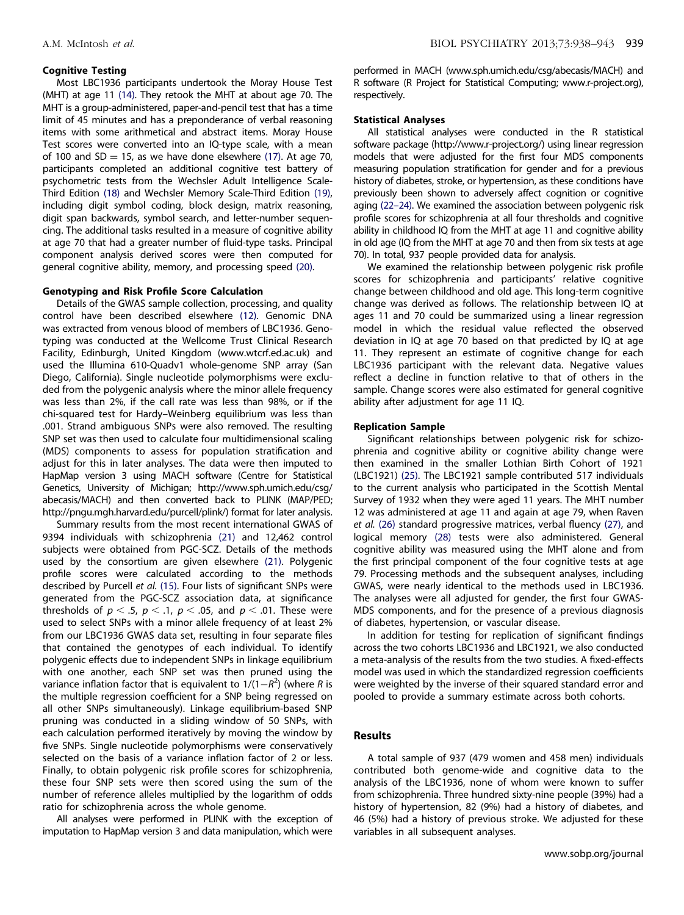#### Cognitive Testing

Most LBC1936 participants undertook the Moray House Test (MHT) at age 11 (14). They retook the MHT at about age 70. The MHT is a group-administered, paper-and-pencil test that has a time limit of 45 minutes and has a preponderance of verbal reasoning items with some arithmetical and abstract items. Moray House Test scores were converted into an IQ-type scale, with a mean of 100 and SD = 15, as we have done elsewhere (17). At age 70, participants completed an additional cognitive test battery of psychometric tests from the Wechsler Adult Intelligence Scale-Third Edition (18) and Wechsler Memory Scale-Third Edition (19), including digit symbol coding, block design, matrix reasoning, digit span backwards, symbol search, and letter-number sequencing. The additional tasks resulted in a measure of cognitive ability at age 70 that had a greater number of fluid-type tasks. Principal component analysis derived scores were then computed for general cognitive ability, memory, and processing speed (20).

#### Genotyping and Risk Profile Score Calculation

Details of the GWAS sample collection, processing, and quality control have been described elsewhere (12). Genomic DNA was extracted from venous blood of members of LBC1936. Genotyping was conducted at the Wellcome Trust Clinical Research Facility, Edinburgh, United Kingdom (www.wtcrf.ed.ac.uk) and used the Illumina 610-Quadv1 whole-genome SNP array (San Diego, California). Single nucleotide polymorphisms were excluded from the polygenic analysis where the minor allele frequency was less than 2%, if the call rate was less than 98%, or if the chi-squared test for Hardy–Weinberg equilibrium was less than .001. Strand ambiguous SNPs were also removed. The resulting SNP set was then used to calculate four multidimensional scaling (MDS) components to assess for population stratification and adjust for this in later analyses. The data were then imputed to HapMap version 3 using MACH software (Centre for Statistical Genetics, University of Michigan; http://www.sph.umich.edu/csg/ abecasis/MACH) and then converted back to PLINK (MAP/PED; http://pngu.mgh.harvard.edu/purcell/plink/) format for later analysis.

Summary results from the most recent international GWAS of 9394 individuals with schizophrenia (21) and 12,462 control subjects were obtained from PGC-SCZ. Details of the methods used by the consortium are given elsewhere (21). Polygenic profile scores were calculated according to the methods described by Purcell *et al.* (15). Four lists of significant SNPs were generated from the PGC-SCZ association data, at significance thresholds of  $p < .5$ ,  $p < .1$ ,  $p < .05$ , and  $p < .01$ . These were used to select SNPs with a minor allele frequency of at least 2% from our LBC1936 GWAS data set, resulting in four separate files that contained the genotypes of each individual. To identify polygenic effects due to independent SNPs in linkage equilibrium with one another, each SNP set was then pruned using the variance inflation factor that is equivalent to 1/(1-*R* 2 ) (where *R* is the multiple regression coefficient for a SNP being regressed on all other SNPs simultaneously). Linkage equilibrium-based SNP pruning was conducted in a sliding window of 50 SNPs, with each calculation performed iteratively by moving the window by five SNPs. Single nucleotide polymorphisms were conservatively selected on the basis of a variance inflation factor of 2 or less. Finally, to obtain polygenic risk profile scores for schizophrenia, these four SNP sets were then scored using the sum of the number of reference alleles multiplied by the logarithm of odds ratio for schizophrenia across the whole genome.

All analyses were performed in PLINK with the exception of imputation to HapMap version 3 and data manipulation, which were performed in MACH (www.sph.umich.edu/csg/abecasis/MACH) and R software (R Project for Statistical Computing; www.r-project.org), respectively.

#### Statistical Analyses

All statistical analyses were conducted in the R statistical software package (http://www.r-project.org/) using linear regression models that were adjusted for the first four MDS components measuring population stratification for gender and for a previous history of diabetes, stroke, or hypertension, as these conditions have previously been shown to adversely affect cognition or cognitive aging (22–24). We examined the association between polygenic risk profile scores for schizophrenia at all four thresholds and cognitive ability in childhood IQ from the MHT at age 11 and cognitive ability in old age (IQ from the MHT at age 70 and then from six tests at age 70). In total, 937 people provided data for analysis.

We examined the relationship between polygenic risk profile scores for schizophrenia and participants' relative cognitive change between childhood and old age. This long-term cognitive change was derived as follows. The relationship between IQ at ages 11 and 70 could be summarized using a linear regression model in which the residual value reflected the observed deviation in IQ at age 70 based on that predicted by IQ at age 11. They represent an estimate of cognitive change for each LBC1936 participant with the relevant data. Negative values reflect a decline in function relative to that of others in the sample. Change scores were also estimated for general cognitive ability after adjustment for age 11 IQ.

#### Replication Sample

Significant relationships between polygenic risk for schizophrenia and cognitive ability or cognitive ability change were then examined in the smaller Lothian Birth Cohort of 1921 (LBC1921) (25). The LBC1921 sample contributed 517 individuals to the current analysis who participated in the Scottish Mental Survey of 1932 when they were aged 11 years. The MHT number 12 was administered at age 11 and again at age 79, when Raven *et al.* (26) standard progressive matrices, verbal fluency (27), and logical memory (28) tests were also administered. General cognitive ability was measured using the MHT alone and from the first principal component of the four cognitive tests at age 79. Processing methods and the subsequent analyses, including GWAS, were nearly identical to the methods used in LBC1936. The analyses were all adjusted for gender, the first four GWAS-MDS components, and for the presence of a previous diagnosis of diabetes, hypertension, or vascular disease.

In addition for testing for replication of significant findings across the two cohorts LBC1936 and LBC1921, we also conducted a meta-analysis of the results from the two studies. A fixed-effects model was used in which the standardized regression coefficients were weighted by the inverse of their squared standard error and pooled to provide a summary estimate across both cohorts.

#### Results

A total sample of 937 (479 women and 458 men) individuals contributed both genome-wide and cognitive data to the analysis of the LBC1936, none of whom were known to suffer from schizophrenia. Three hundred sixty-nine people (39%) had a history of hypertension, 82 (9%) had a history of diabetes, and 46 (5%) had a history of previous stroke. We adjusted for these variables in all subsequent analyses.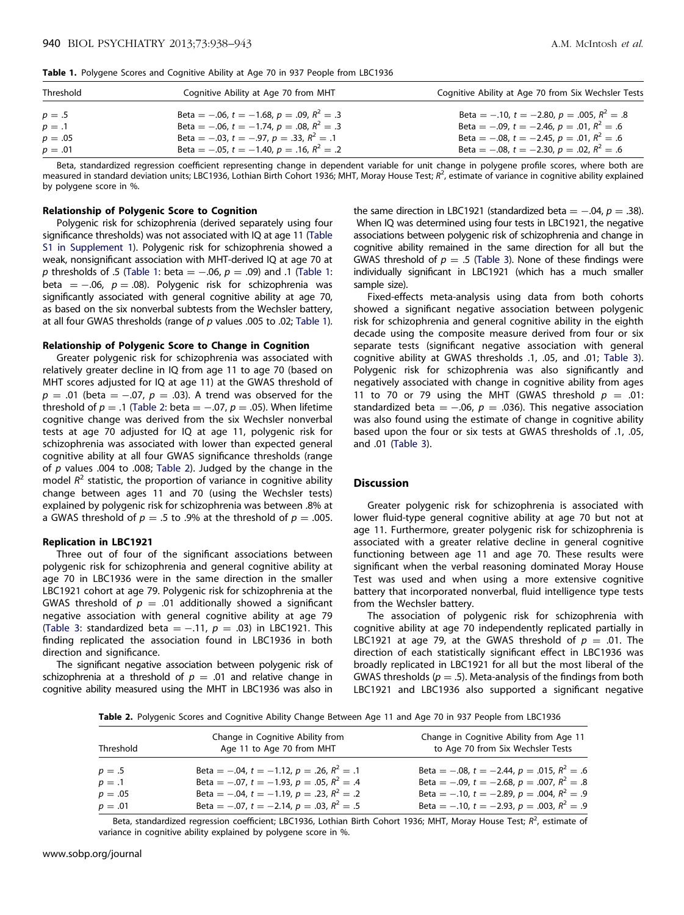|  |  |  |  |  | Table 1. Polygene Scores and Cognitive Ability at Age 70 in 937 People from LBC1936 |  |  |  |  |  |  |  |  |  |  |
|--|--|--|--|--|-------------------------------------------------------------------------------------|--|--|--|--|--|--|--|--|--|--|
|--|--|--|--|--|-------------------------------------------------------------------------------------|--|--|--|--|--|--|--|--|--|--|

| Threshold | Cognitive Ability at Age 70 from MHT              | Cognitive Ability at Age 70 from Six Wechsler Tests |  |  |  |
|-----------|---------------------------------------------------|-----------------------------------------------------|--|--|--|
| $p=.5$    | Beta = -.06, $t = -1.68$ , $p = .09$ , $R^2 = .3$ | Beta = -.10, $t = -2.80$ , $p = .005$ , $R^2 = .8$  |  |  |  |
| $p=.1$    | Beta = -.06, $t = -1.74$ , $p = .08$ , $R^2 = .3$ | Beta = -.09, $t = -2.46$ , $p = .01$ , $R^2 = .6$   |  |  |  |
| $p = .05$ | Beta = -.03, $t = -.97$ , $p = .33$ , $R^2 = .1$  | Beta = -.08, $t = -2.45$ , $p = .01$ , $R^2 = .6$   |  |  |  |
| $p=.01$   | Beta = -.05, $t = -1.40$ , $p = .16$ , $R^2 = .2$ | Beta = -.08, $t = -2.30$ , $p = .02$ , $R^2 = .6$   |  |  |  |

Beta, standardized regression coefficient representing change in dependent variable for unit change in polygene profile scores, where both are measured in standard deviation units; LBC1936, Lothian Birth Cohort 1936; MHT, Moray House Test;  $R^2$ , estimate of variance in cognitive ability explained by polygene score in %.

#### Relationship of Polygenic Score to Cognition

Polygenic risk for schizophrenia (derived separately using four significance thresholds) was not associated with IQ at age 11 (Table S1 in Supplement 1). Polygenic risk for schizophrenia showed a weak, nonsignificant association with MHT-derived IQ at age 70 at *p* thresholds of .5 (Table 1: beta  $=$   $-.06$ ,  $p = .09$ ) and .1 (Table 1: beta  $=$   $-.06$ ,  $p = .08$ ). Polygenic risk for schizophrenia was significantly associated with general cognitive ability at age 70, as based on the six nonverbal subtests from the Wechsler battery, at all four GWAS thresholds (range of *p* values .005 to .02; Table 1).

#### Relationship of Polygenic Score to Change in Cognition

Greater polygenic risk for schizophrenia was associated with relatively greater decline in IQ from age 11 to age 70 (based on MHT scores adjusted for IQ at age 11) at the GWAS threshold of  $p = .01$  (beta  $= -.07$ ,  $p = .03$ ). A trend was observed for the threshold of  $p = .1$  (Table 2: beta  $= -0.07$ ,  $p = .05$ ). When lifetime cognitive change was derived from the six Wechsler nonverbal tests at age 70 adjusted for IQ at age 11, polygenic risk for schizophrenia was associated with lower than expected general cognitive ability at all four GWAS significance thresholds (range of *p* values .004 to .008; Table 2). Judged by the change in the model *R* 2 statistic, the proportion of variance in cognitive ability change between ages 11 and 70 (using the Wechsler tests) explained by polygenic risk for schizophrenia was between .8% at a GWAS threshold of  $p = .5$  to .9% at the threshold of  $p = .005$ .

#### Replication in LBC1921

Three out of four of the significant associations between polygenic risk for schizophrenia and general cognitive ability at age 70 in LBC1936 were in the same direction in the smaller LBC1921 cohort at age 79. Polygenic risk for schizophrenia at the GWAS threshold of  $p = .01$  additionally showed a significant negative association with general cognitive ability at age 79 (Table 3: standardized beta  $= -0.11$ ,  $p = 0.03$ ) in LBC1921. This finding replicated the association found in LBC1936 in both direction and significance.

The significant negative association between polygenic risk of schizophrenia at a threshold of  $p = .01$  and relative change in cognitive ability measured using the MHT in LBC1936 was also in

the same direction in LBC1921 (standardized beta  $=$  -.04,  $p = .38$ ). When IQ was determined using four tests in LBC1921, the negative associations between polygenic risk of schizophrenia and change in cognitive ability remained in the same direction for all but the GWAS threshold of  $p = .5$  (Table 3). None of these findings were individually significant in LBC1921 (which has a much smaller sample size).

Fixed-effects meta-analysis using data from both cohorts showed a significant negative association between polygenic risk for schizophrenia and general cognitive ability in the eighth decade using the composite measure derived from four or six separate tests (significant negative association with general cognitive ability at GWAS thresholds .1, .05, and .01; Table 3). Polygenic risk for schizophrenia was also significantly and negatively associated with change in cognitive ability from ages 11 to 70 or 79 using the MHT (GWAS threshold  $p = .01$ : standardized beta  $=$  -.06,  $p = .036$ ). This negative association was also found using the estimate of change in cognitive ability based upon the four or six tests at GWAS thresholds of .1, .05, and .01 (Table 3).

#### **Discussion**

Greater polygenic risk for schizophrenia is associated with lower fluid-type general cognitive ability at age 70 but not at age 11. Furthermore, greater polygenic risk for schizophrenia is associated with a greater relative decline in general cognitive functioning between age 11 and age 70. These results were significant when the verbal reasoning dominated Moray House Test was used and when using a more extensive cognitive battery that incorporated nonverbal, fluid intelligence type tests from the Wechsler battery.

The association of polygenic risk for schizophrenia with cognitive ability at age 70 independently replicated partially in LBC1921 at age 79, at the GWAS threshold of  $p = .01$ . The direction of each statistically significant effect in LBC1936 was broadly replicated in LBC1921 for all but the most liberal of the GWAS thresholds ( $p = .5$ ). Meta-analysis of the findings from both LBC1921 and LBC1936 also supported a significant negative

Table 2. Polygenic Scores and Cognitive Ability Change Between Age 11 and Age 70 in 937 People from LBC1936

| Threshold | Change in Cognitive Ability from<br>Age 11 to Age 70 from MHT | Change in Cognitive Ability from Age 11<br>to Age 70 from Six Wechsler Tests |
|-----------|---------------------------------------------------------------|------------------------------------------------------------------------------|
| $p=.5$    | Beta = $-.04$ , $t = -1.12$ , $p = .26$ , $R^2 = .1$          | Beta = -.08, $t = -2.44$ , $p = .015$ , $R^2 = .6$                           |
| $p = .1$  | Beta = -.07, $t = -1.93$ , $p = .05$ , $R^2 = .4$             | Beta = -.09, $t = -2.68$ , $p = .007$ , $R^2 = .8$                           |
| $p = .05$ | Beta = -.04, $t = -1.19$ , $p = .23$ , $R^2 = .2$             | Beta = -.10, $t = -2.89$ , $p = .004$ , $R^2 = .9$                           |
| $p = .01$ | Beta = -.07, $t = -2.14$ , $p = .03$ , $R^2 = .5$             | Beta = -.10, $t = -2.93$ , $p = .003$ , $R^2 = .9$                           |

Beta, standardized regression coefficient; LBC1936, Lothian Birth Cohort 1936; MHT, Moray House Test; R<sup>2</sup>, estimate of variance in cognitive ability explained by polygene score in %.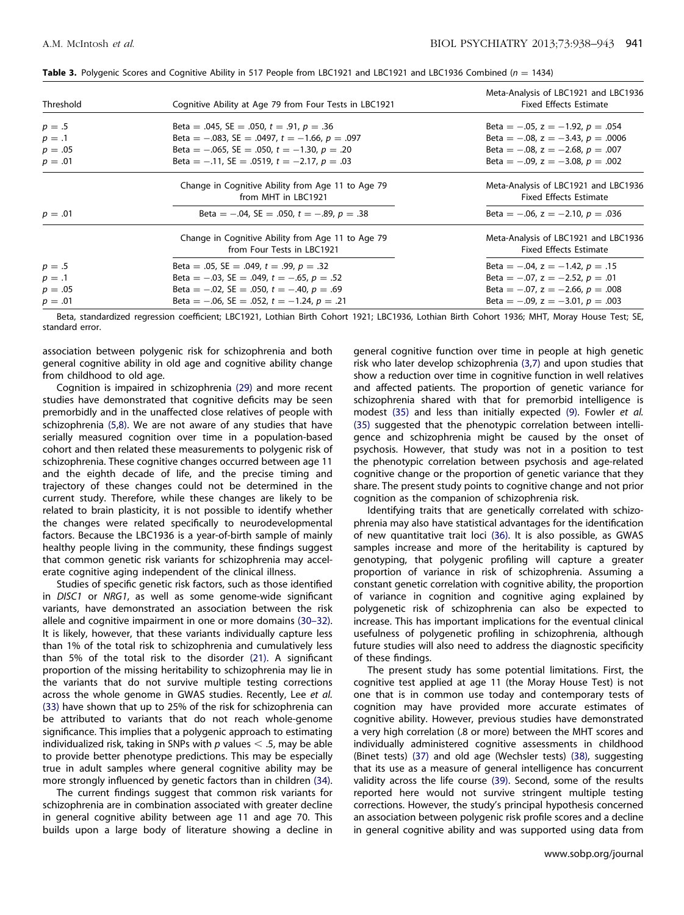| Threshold | Cognitive Ability at Age 79 from Four Tests in LBC1921                          | Meta-Analysis of LBC1921 and LBC1936<br><b>Fixed Effects Estimate</b> |
|-----------|---------------------------------------------------------------------------------|-----------------------------------------------------------------------|
| $p=.5$    | Beta = .045, SE = .050, $t = .91$ , $p = .36$                                   | Beta = $-.05$ , $z = -1.92$ , $p = .054$                              |
| $p=.1$    | Beta = $-.083$ , SE = $.0497$ , t = $-1.66$ , p = $.097$                        | Beta = $-.08$ , z = $-.3.43$ , p = .0006                              |
| $p = .05$ | Beta = $-.065$ , SE = $.050$ , $t = -1.30$ , $p = .20$                          | Beta = $-.08$ , z = $-.2.68$ , p = .007                               |
| $p = .01$ | Beta = $-.11$ , SE = .0519, t = $-2.17$ , p = .03                               | Beta = $-.09$ , z = $-.3.08$ , p = $.002$                             |
|           | Change in Cognitive Ability from Age 11 to Age 79<br>from MHT in LBC1921        | Meta-Analysis of LBC1921 and LBC1936<br><b>Fixed Effects Estimate</b> |
| $p=.01$   | Beta = $-.04$ , SE = $.050$ , $t = -.89$ , $p = .38$                            | Beta = $-.06$ , z = $-.2.10$ , p = .036                               |
|           | Change in Cognitive Ability from Age 11 to Age 79<br>from Four Tests in LBC1921 | Meta-Analysis of LBC1921 and LBC1936<br><b>Fixed Effects Estimate</b> |
| $p=.5$    | Beta = .05, SE = .049, $t = .99$ , $p = .32$                                    | Beta = $-.04$ , $z = -1.42$ , $p = .15$                               |
| $p=.1$    | Beta = $-.03$ , SE = $.049$ , $t = -.65$ , $p = .52$                            | Beta = $-.07$ , z = $-.2.52$ , p = .01                                |
| $p = .05$ | Beta = $-.02$ , SE = $.050$ , $t = -.40$ , $p = .69$                            | Beta = $-.07$ , z = $-.2.66$ , p = .008                               |
| $p=.01$   | Beta = $-.06$ , SE = .052, t = $-1.24$ , p = .21                                | Beta = $-.09$ , z = $-.3.01$ , p = $.003$                             |

Table 3. Polygenic Scores and Cognitive Ability in 517 People from LBC1921 and LBC1921 and LBC1936 Combined ( $n = 1434$ )

Beta, standardized regression coefficient; LBC1921, Lothian Birth Cohort 1921; LBC1936, Lothian Birth Cohort 1936; MHT, Moray House Test; SE, standard error.

association between polygenic risk for schizophrenia and both general cognitive ability in old age and cognitive ability change from childhood to old age.

Cognition is impaired in schizophrenia (29) and more recent studies have demonstrated that cognitive deficits may be seen premorbidly and in the unaffected close relatives of people with schizophrenia (5,8). We are not aware of any studies that have serially measured cognition over time in a population-based cohort and then related these measurements to polygenic risk of schizophrenia. These cognitive changes occurred between age 11 and the eighth decade of life, and the precise timing and trajectory of these changes could not be determined in the current study. Therefore, while these changes are likely to be related to brain plasticity, it is not possible to identify whether the changes were related specifically to neurodevelopmental factors. Because the LBC1936 is a year-of-birth sample of mainly healthy people living in the community, these findings suggest that common genetic risk variants for schizophrenia may accelerate cognitive aging independent of the clinical illness.

Studies of specific genetic risk factors, such as those identified in *DISC1* or *NRG1*, as well as some genome-wide significant variants, have demonstrated an association between the risk allele and cognitive impairment in one or more domains (30–32). It is likely, however, that these variants individually capture less than 1% of the total risk to schizophrenia and cumulatively less than 5% of the total risk to the disorder (21). A significant proportion of the missing heritability to schizophrenia may lie in the variants that do not survive multiple testing corrections across the whole genome in GWAS studies. Recently, Lee *et al.* (33) have shown that up to 25% of the risk for schizophrenia can be attributed to variants that do not reach whole-genome significance. This implies that a polygenic approach to estimating individualized risk, taking in SNPs with  $p$  values  $\leq$  .5, may be able to provide better phenotype predictions. This may be especially true in adult samples where general cognitive ability may be more strongly influenced by genetic factors than in children (34).

The current findings suggest that common risk variants for schizophrenia are in combination associated with greater decline in general cognitive ability between age 11 and age 70. This builds upon a large body of literature showing a decline in

general cognitive function over time in people at high genetic risk who later develop schizophrenia (3,7) and upon studies that show a reduction over time in cognitive function in well relatives and affected patients. The proportion of genetic variance for schizophrenia shared with that for premorbid intelligence is modest (35) and less than initially expected (9). Fowler *et al.* (35) suggested that the phenotypic correlation between intelligence and schizophrenia might be caused by the onset of psychosis. However, that study was not in a position to test the phenotypic correlation between psychosis and age-related cognitive change or the proportion of genetic variance that they share. The present study points to cognitive change and not prior cognition as the companion of schizophrenia risk.

Identifying traits that are genetically correlated with schizophrenia may also have statistical advantages for the identification of new quantitative trait loci (36). It is also possible, as GWAS samples increase and more of the heritability is captured by genotyping, that polygenic profiling will capture a greater proportion of variance in risk of schizophrenia. Assuming a constant genetic correlation with cognitive ability, the proportion of variance in cognition and cognitive aging explained by polygenetic risk of schizophrenia can also be expected to increase. This has important implications for the eventual clinical usefulness of polygenetic profiling in schizophrenia, although future studies will also need to address the diagnostic specificity of these findings.

The present study has some potential limitations. First, the cognitive test applied at age 11 (the Moray House Test) is not one that is in common use today and contemporary tests of cognition may have provided more accurate estimates of cognitive ability. However, previous studies have demonstrated a very high correlation (.8 or more) between the MHT scores and individually administered cognitive assessments in childhood (Binet tests) (37) and old age (Wechsler tests) (38), suggesting that its use as a measure of general intelligence has concurrent validity across the life course (39). Second, some of the results reported here would not survive stringent multiple testing corrections. However, the study's principal hypothesis concerned an association between polygenic risk profile scores and a decline in general cognitive ability and was supported using data from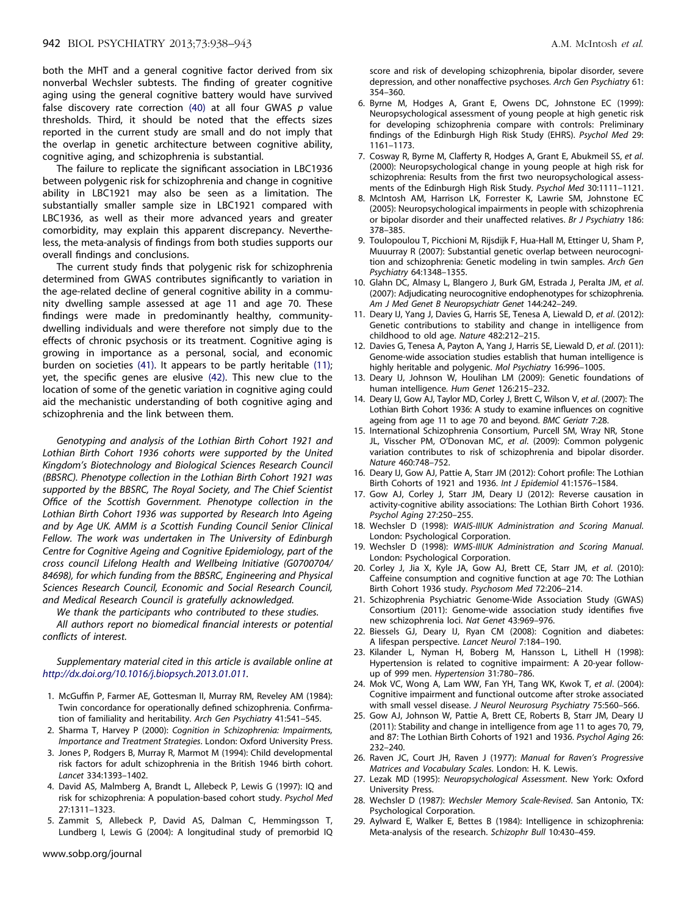both the MHT and a general cognitive factor derived from six nonverbal Wechsler subtests. The finding of greater cognitive aging using the general cognitive battery would have survived false discovery rate correction (40) at all four GWAS *p* value thresholds. Third, it should be noted that the effects sizes reported in the current study are small and do not imply that the overlap in genetic architecture between cognitive ability, cognitive aging, and schizophrenia is substantial.

The failure to replicate the significant association in LBC1936 between polygenic risk for schizophrenia and change in cognitive ability in LBC1921 may also be seen as a limitation. The substantially smaller sample size in LBC1921 compared with LBC1936, as well as their more advanced years and greater comorbidity, may explain this apparent discrepancy. Nevertheless, the meta-analysis of findings from both studies supports our overall findings and conclusions.

The current study finds that polygenic risk for schizophrenia determined from GWAS contributes significantly to variation in the age-related decline of general cognitive ability in a community dwelling sample assessed at age 11 and age 70. These findings were made in predominantly healthy, communitydwelling individuals and were therefore not simply due to the effects of chronic psychosis or its treatment. Cognitive aging is growing in importance as a personal, social, and economic burden on societies (41). It appears to be partly heritable (11); yet, the specific genes are elusive (42). This new clue to the location of some of the genetic variation in cognitive aging could aid the mechanistic understanding of both cognitive aging and schizophrenia and the link between them.

*Genotyping and analysis of the Lothian Birth Cohort 1921 and Lothian Birth Cohort 1936 cohorts were supported by the United Kingdom's Biotechnology and Biological Sciences Research Council (BBSRC). Phenotype collection in the Lothian Birth Cohort 1921 was supported by the BBSRC, The Royal Society, and The Chief Scientist Office of the Scottish Government. Phenotype collection in the Lothian Birth Cohort 1936 was supported by Research Into Ageing and by Age UK. AMM is a Scottish Funding Council Senior Clinical Fellow. The work was undertaken in The University of Edinburgh Centre for Cognitive Ageing and Cognitive Epidemiology, part of the cross council Lifelong Health and Wellbeing Initiative (G0700704/ 84698), for which funding from the BBSRC, Engineering and Physical Sciences Research Council, Economic and Social Research Council, and Medical Research Council is gratefully acknowledged.*

*We thank the participants who contributed to these studies.*

*All authors report no biomedical financial interests or potential conflicts of interest.*

*Supplementary material cited in this article is available online at http://dx.doi.org/10.1016/j.biopsych.2013.01.011.*

- 1. McGuffin P, Farmer AE, Gottesman II, Murray RM, Reveley AM (1984): Twin concordance for operationally defined schizophrenia. Confirmation of familiality and heritability. *Arch Gen Psychiatry* 41:541–545.
- 2. Sharma T, Harvey P (2000): *Cognition in Schizophrenia: Impairments, Importance and Treatment Strategies*. London: Oxford University Press.
- 3. Jones P, Rodgers B, Murray R, Marmot M (1994): Child developmental risk factors for adult schizophrenia in the British 1946 birth cohort. *Lancet* 334:1393–1402.
- 4. David AS, Malmberg A, Brandt L, Allebeck P, Lewis G (1997): IQ and risk for schizophrenia: A population-based cohort study. *Psychol Med* 27:1311–1323.
- 5. Zammit S, Allebeck P, David AS, Dalman C, Hemmingsson T, Lundberg I, Lewis G (2004): A longitudinal study of premorbid IQ

www.sobp.org/journal

score and risk of developing schizophrenia, bipolar disorder, severe depression, and other nonaffective psychoses. *Arch Gen Psychiatry* 61: 354–360.

- 6. Byrne M, Hodges A, Grant E, Owens DC, Johnstone EC (1999): Neuropsychological assessment of young people at high genetic risk for developing schizophrenia compare with controls: Preliminary findings of the Edinburgh High Risk Study (EHRS). *Psychol Med* 29: 1161–1173.
- 7. Cosway R, Byrne M, Clafferty R, Hodges A, Grant E, Abukmeil SS, *et al*. (2000): Neuropsychological change in young people at high risk for schizophrenia: Results from the first two neuropsychological assessments of the Edinburgh High Risk Study. *Psychol Med* 30:1111–1121.
- 8. McIntosh AM, Harrison LK, Forrester K, Lawrie SM, Johnstone EC (2005): Neuropsychological impairments in people with schizophrenia or bipolar disorder and their unaffected relatives. *Br J Psychiatry* 186: 378–385.
- 9. Toulopoulou T, Picchioni M, Rijsdijk F, Hua-Hall M, Ettinger U, Sham P, Muuurray R (2007): Substantial genetic overlap between neurocognition and schizophrenia: Genetic modeling in twin samples. *Arch Gen Psychiatry* 64:1348–1355.
- 10. Glahn DC, Almasy L, Blangero J, Burk GM, Estrada J, Peralta JM, *et al*. (2007): Adjudicating neurocognitive endophenotypes for schizophrenia. *Am J Med Genet B Neuropsychiatr Genet* 144:242–249.
- 11. Deary IJ, Yang J, Davies G, Harris SE, Tenesa A, Liewald D, *et al*. (2012): Genetic contributions to stability and change in intelligence from childhood to old age. *Nature* 482:212–215.
- 12. Davies G, Tenesa A, Payton A, Yang J, Harris SE, Liewald D, *et al*. (2011): Genome-wide association studies establish that human intelligence is highly heritable and polygenic. *Mol Psychiatry* 16:996–1005.
- 13. Deary IJ, Johnson W, Houlihan LM (2009): Genetic foundations of human intelligence. *Hum Genet* 126:215–232.
- 14. Deary IJ, Gow AJ, Taylor MD, Corley J, Brett C, Wilson V, *et al*. (2007): The Lothian Birth Cohort 1936: A study to examine influences on cognitive ageing from age 11 to age 70 and beyond. *BMC Geriatr* 7:28.
- 15. International Schizophrenia Consortium, Purcell SM, Wray NR, Stone JL, Visscher PM, O'Donovan MC, *et al*. (2009): Common polygenic variation contributes to risk of schizophrenia and bipolar disorder. *Nature* 460:748–752.
- 16. Deary IJ, Gow AJ, Pattie A, Starr JM (2012): Cohort profile: The Lothian Birth Cohorts of 1921 and 1936. *Int J Epidemiol* 41:1576–1584.
- 17. Gow AJ, Corley J, Starr JM, Deary IJ (2012): Reverse causation in activity-cognitive ability associations: The Lothian Birth Cohort 1936. *Psychol Aging* 27:250–255.
- 18. Wechsler D (1998): *WAIS-IIIUK Administration and Scoring Manual*. London: Psychological Corporation.
- 19. Wechsler D (1998): *WMS-IIIUK Administration and Scoring Manual*. London: Psychological Corporation.
- 20. Corley J, Jia X, Kyle JA, Gow AJ, Brett CE, Starr JM, *et al*. (2010): Caffeine consumption and cognitive function at age 70: The Lothian Birth Cohort 1936 study. *Psychosom Med* 72:206–214.
- 21. Schizophrenia Psychiatric Genome-Wide Association Study (GWAS) Consortium (2011): Genome-wide association study identifies five new schizophrenia loci. *Nat Genet* 43:969–976.
- 22. Biessels GJ, Deary IJ, Ryan CM (2008): Cognition and diabetes: A lifespan perspective. *Lancet Neurol* 7:184–190.
- 23. Kilander L, Nyman H, Boberg M, Hansson L, Lithell H (1998): Hypertension is related to cognitive impairment: A 20-year followup of 999 men. *Hypertension* 31:780–786.
- 24. Mok VC, Wong A, Lam WW, Fan YH, Tang WK, Kwok T, *et al*. (2004): Cognitive impairment and functional outcome after stroke associated with small vessel disease. *J Neurol Neurosurg Psychiatry* 75:560–566.
- 25. Gow AJ, Johnson W, Pattie A, Brett CE, Roberts B, Starr JM, Deary IJ (2011): Stability and change in intelligence from age 11 to ages 70, 79, and 87: The Lothian Birth Cohorts of 1921 and 1936. *Psychol Aging* 26: 232–240.
- 26. Raven JC, Court JH, Raven J (1977): *Manual for Raven's Progressive Matrices and Vocabulary Scales*. London: H. K. Lewis.
- 27. Lezak MD (1995): *Neuropsychological Assessment*. New York: Oxford University Press.
- 28. Wechsler D (1987): *Wechsler Memory Scale-Revised*. San Antonio, TX: Psychological Corporation.
- 29. Aylward E, Walker E, Bettes B (1984): Intelligence in schizophrenia: Meta-analysis of the research. *Schizophr Bull* 10:430–459.